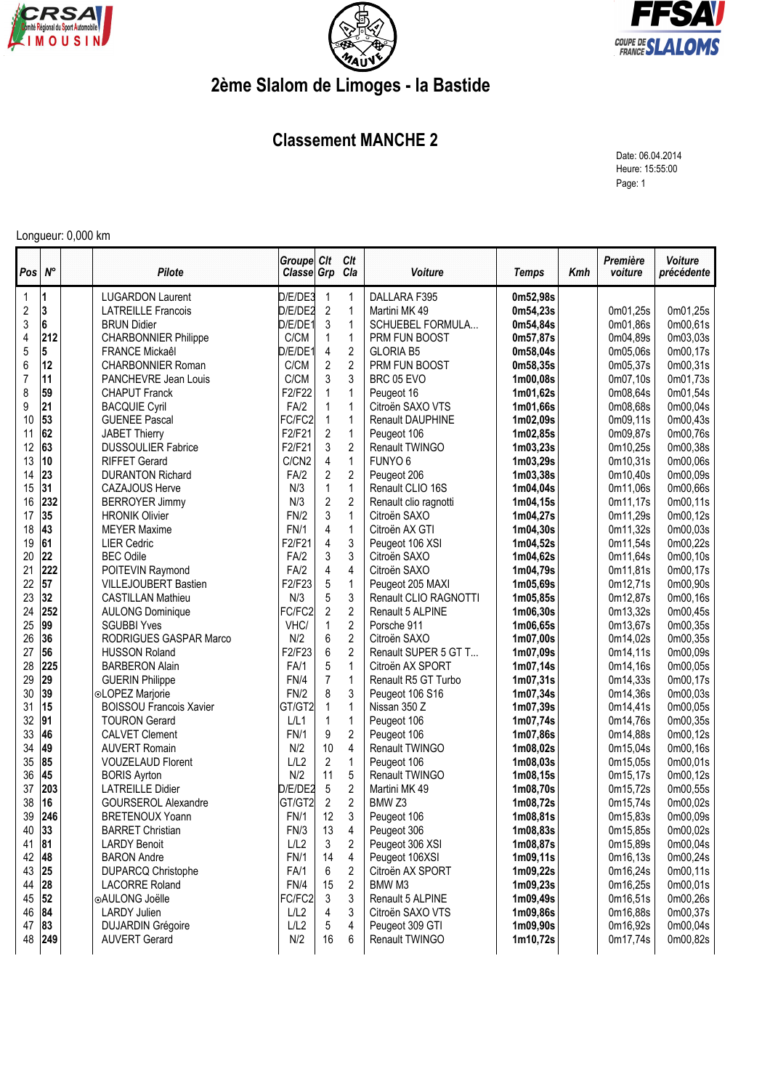





## **2ème Slalom de Limoges - la Bastide**

## **Classement MANCHE 2**

Date: 06.04.2014 Heure: 15:55:00 Page: 1

## Longueur: 0,000 km

| Pos        | $N^{\circ}$ | Pilote                         | Groupe Clt<br>Classe Grp |                | Clt<br>Cla     | Voiture                 | <b>Temps</b>          | Kmh | Première<br>voiture | Voiture<br>précédente |
|------------|-------------|--------------------------------|--------------------------|----------------|----------------|-------------------------|-----------------------|-----|---------------------|-----------------------|
| 1          | 11          | <b>LUGARDON Laurent</b>        | D/E/DE3                  | 1              | 1              | DALLARA F395            | 0m52,98s              |     |                     |                       |
| $\sqrt{2}$ | 3           | <b>LATREILLE Francois</b>      | D/E/DE2                  | $\sqrt{2}$     | $\mathbf{1}$   | Martini MK 49           | 0m54,23s              |     | 0m01,25s            | 0m01,25s              |
| 3          | 6           | <b>BRUN Didier</b>             | D/E/DE1                  | 3              | $\mathbf{1}$   | SCHUEBEL FORMULA        | 0m54,84s              |     | 0m01,86s            | 0m00,61s              |
| 4          | 212         | <b>CHARBONNIER Philippe</b>    | C/CM                     | $\mathbf{1}$   | $\mathbf{1}$   | PRM FUN BOOST           | 0m57,87s              |     | 0m04,89s            | 0m03,03s              |
| 5          | 5           | FRANCE Mickaêl                 | D/E/DE1                  | 4              | $\overline{2}$ | <b>GLORIA B5</b>        | 0m58,04s              |     | 0m05,06s            | 0m00,17s              |
| 6          | 12          | <b>CHARBONNIER Roman</b>       | C/CM                     | $\sqrt{2}$     | $\overline{2}$ | PRM FUN BOOST           | 0m58,35s              |     | 0m05,37s            | 0m00,31s              |
| 7          | 11          | PANCHEVRE Jean Louis           | C/CM                     | 3              | 3              | BRC 05 EVO              | 1m00,08s              |     | 0m07,10s            | 0m01,73s              |
| 8          | 59          | <b>CHAPUT Franck</b>           | F2/F22                   | $\mathbf{1}$   | $\mathbf{1}$   | Peugeot 16              | 1m01,62s              |     | 0m08,64s            | 0m01,54s              |
| 9          | 21          | <b>BACQUIE Cyril</b>           | FA/2                     | 1              | $\mathbf{1}$   | Citroën SAXO VTS        | 1m01,66s              |     | 0m08,68s            | 0m00,04s              |
| 10         | 53          | <b>GUENEE Pascal</b>           | FC/FC2                   | $\mathbf{1}$   | $\mathbf{1}$   | <b>Renault DAUPHINE</b> | 1m02,09s              |     | 0m09,11s            | 0m00,43s              |
| 11         | 62          | <b>JABET Thierry</b>           | F2/F21                   | $\overline{c}$ | $\mathbf{1}$   | Peugeot 106             | 1m02,85s              |     | 0m09,87s            | 0m00,76s              |
| 12         | 63          | <b>DUSSOULIER Fabrice</b>      | F2/F21                   | 3              | $\overline{c}$ | Renault TWINGO          | 1m03,23s              |     | 0m10,25s            | 0m00,38s              |
| 13         | 10          | <b>RIFFET Gerard</b>           | C/CN2                    | 4              | $\mathbf{1}$   | FUNYO <sub>6</sub>      | 1m03,29s              |     | 0m10,31s            | 0m00,06s              |
| 14         | 23          | <b>DURANTON Richard</b>        | FA/2                     | $\overline{2}$ | $\overline{2}$ | Peugeot 206             | 1 <sub>m</sub> 03,38s |     | 0m10,40s            | 0m00,09s              |
| 15         | 31          | <b>CAZAJOUS Herve</b>          | N/3                      | 1              | $\mathbf{1}$   | Renault CLIO 16S        | 1m04,04s              |     | 0m11,06s            | 0m00,66s              |
| 16         | 232         | <b>BERROYER Jimmy</b>          | N/3                      | $\overline{c}$ | $\overline{c}$ | Renault clio ragnotti   | 1m04,15s              |     | 0m11,17s            | 0m00,11s              |
| 17         | 35          | <b>HRONIK Olivier</b>          | FN/2                     | 3              | $\mathbf{1}$   | Citroën SAXO            | 1m04,27s              |     | 0m11,29s            | 0m00,12s              |
| 18         | 43          | <b>MEYER Maxime</b>            | <b>FN/1</b>              | 4              | $\mathbf{1}$   | Citroën AX GTI          | 1m04,30s              |     | 0m11,32s            | 0m00,03s              |
| 19         | 61          | <b>LIER Cedric</b>             | F2/F21                   | 4              | 3              | Peugeot 106 XSI         | 1m04,52s              |     | 0m11,54s            | 0m00,22s              |
| 20         | 22          | <b>BEC Odile</b>               | FA/2                     | 3              | 3              | Citroën SAXO            | 1m04,62s              |     | 0m11.64s            | 0m00,10s              |
| 21         | 222         | POITEVIN Raymond               | FA/2                     | 4              | 4              | Citroën SAXO            | 1m04,79s              |     | 0m11,81s            | 0m00,17s              |
| 22         | 57          | <b>VILLEJOUBERT Bastien</b>    | F2/F23                   | $\mathbf 5$    | $\mathbf{1}$   | Peugeot 205 MAXI        | 1m05,69s              |     | 0m12,71s            | 0m00,90s              |
| 23         | 32          | <b>CASTILLAN Mathieu</b>       | N/3                      | 5              | 3              | Renault CLIO RAGNOTTI   | 1m05,85s              |     | 0m12,87s            | 0m00,16s              |
| 24         | 252         | <b>AULONG Dominique</b>        | FC/FC2                   | $\overline{2}$ | $\overline{c}$ | Renault 5 ALPINE        | 1m06,30s              |     | 0m13,32s            | 0m00,45s              |
| 25         | 99          | <b>SGUBBI Yves</b>             | VHC/                     | $\mathbf{1}$   | $\overline{c}$ | Porsche 911             | 1m06,65s              |     | 0m13,67s            | 0m00,35s              |
| 26         | 36          | RODRIGUES GASPAR Marco         | N/2                      | 6              | $\overline{c}$ | Citroën SAXO            | 1m07,00s              |     | 0m14,02s            | 0m00,35s              |
| 27         | 56          | <b>HUSSON Roland</b>           | F2/F23                   | 6              | $\overline{c}$ | Renault SUPER 5 GT T    | 1m07,09s              |     | 0m14,11s            | 0m00,09s              |
| 28         | 225         | <b>BARBERON Alain</b>          | FA/1                     | 5              | $\mathbf{1}$   | Citroën AX SPORT        | 1m07,14s              |     | 0m14,16s            | 0m00,05s              |
| 29         | 29          | <b>GUERIN Philippe</b>         | FN/4                     | $\overline{7}$ | $\mathbf{1}$   | Renault R5 GT Turbo     | 1m07,31s              |     | 0m14,33s            | 0m00,17s              |
| 30         | 39          | ⊙LOPEZ Marjorie                | FN/2                     | 8              | 3              | Peugeot 106 S16         | 1m07,34s              |     | 0m14,36s            | 0m00,03s              |
| 31         | 15          | <b>BOISSOU Francois Xavier</b> | GT/GT2                   | 1              | $\mathbf{1}$   | Nissan 350 Z            | 1m07,39s              |     | 0m14,41s            | 0m00,05s              |
| 32         | 91          | <b>TOURON Gerard</b>           | L/L1                     | $\mathbf{1}$   | $\mathbf{1}$   | Peugeot 106             | 1m07,74s              |     | 0m14,76s            | 0m00,35s              |
| 33         | 46          | <b>CALVET Clement</b>          | <b>FN/1</b>              | 9              | $\mathbf{2}$   | Peugeot 106             | 1m07,86s              |     | 0m14,88s            | 0m00,12s              |
| 34         | 49          | <b>AUVERT Romain</b>           | N/2                      | 10             | 4              | Renault TWINGO          | 1m08,02s              |     | 0m15,04s            | 0m00,16s              |
| 35         | 85          | <b>VOUZELAUD Florent</b>       | L/L2                     | $\overline{c}$ | $\mathbf{1}$   | Peugeot 106             | 1m08,03s              |     | 0m15,05s            | 0m00,01s              |
| 36         | 45          | <b>BORIS Ayrton</b>            | N/2                      | 11             | 5              | Renault TWINGO          | 1m08,15s              |     | 0m15,17s            | 0m00,12s              |
| 37         | 203         | <b>LATREILLE Didier</b>        | D/E/DE2                  | 5              | $\overline{c}$ | Martini MK 49           | 1m08,70s              |     | 0m15,72s            | 0m00,55s              |
| 38         | 16          | <b>GOURSEROL Alexandre</b>     | GT/GT2                   | $\overline{2}$ | $\overline{2}$ | BMW <sub>Z3</sub>       | 1m08,72s              |     | 0m15,74s            | 0m00,02s              |
| 39         | 246         | <b>BRETENOUX Yoann</b>         | FN/1                     | 12             | 3              | Peugeot 106             | 1m08,81s              |     | 0m15,83s            | 0m00,09s              |
| 40         | 33          | <b>BARRET Christian</b>        | FN/3                     | 13             | 4              | Peugeot 306             | 1m08,83s              |     | 0m15,85s            | 0m00,02s              |
| 41         | 81          | <b>LARDY Benoit</b>            | L/L2                     | 3              | 2              | Peugeot 306 XSI         | 1m08,87s              |     | 0m15,89s            | 0m00,04s              |
| 42         | 48          | <b>BARON Andre</b>             | <b>FN/1</b>              | 14             | 4              | Peugeot 106XSI          | 1m09,11s              |     | 0m16,13s            | 0m00,24s              |
| 43         | 25          | <b>DUPARCQ Christophe</b>      | FA/1                     | 6              | $\overline{2}$ | Citroën AX SPORT        | 1m09,22s              |     | 0m16,24s            | 0m00,11s              |
| 44         | 28          | <b>LACORRE Roland</b>          | FN/4                     | 15             | $\overline{2}$ | BMW M3                  | 1m09,23s              |     | 0m16,25s            | 0m00,01s              |
| 45         | 52          | ⊚AULONG Joëlle                 | FC/FC2                   | 3              | 3              | Renault 5 ALPINE        | 1m09,49s              |     | 0m16,51s            | 0m00,26s              |
| 46         | 84          | <b>LARDY Julien</b>            | L/L2                     | 4              | 3              | Citroën SAXO VTS        | 1m09,86s              |     | 0m16,88s            | 0m00,37s              |
| 47         | 83          | <b>DUJARDIN Grégoire</b>       | L/L2                     | 5              | 4              | Peugeot 309 GTI         | 1m09,90s              |     | 0m16,92s            | 0m00,04s              |
| 48         | 249         | <b>AUVERT Gerard</b>           | N/2                      | 16             | 6              | Renault TWINGO          | 1m10,72s              |     | 0m17,74s            | 0m00,82s              |